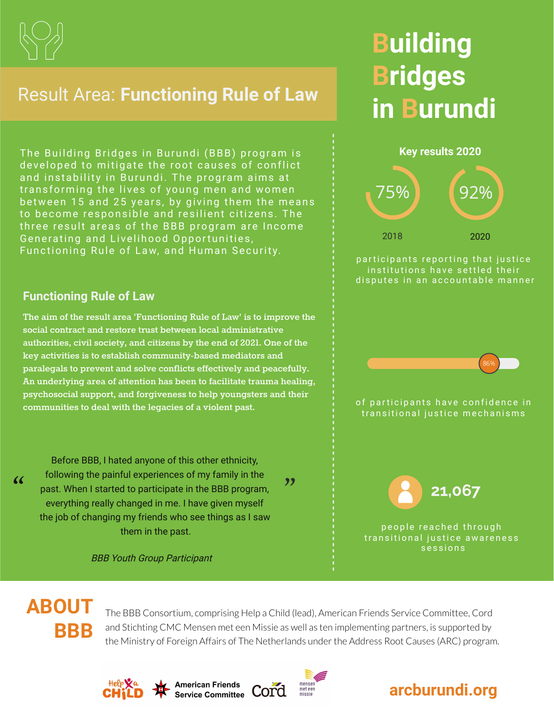

### Result Area: **Functioning Rule of Law**

The Building Bridges in Burundi (BBB) program is developed to mitigate the root causes of conflict and instability in Burundi. The program aims at transforming the lives of young men and women between 15 and 25 years, by giving them the means to become responsible and resilient citizens. The three result areas of the BBB program are Income Generating and Livelihood Opportunities, Functioning Rule of Law, and Human Security.

## **Building Bridges in Burundi**



#### **Functioning Rule of Law**

**The aim of the result area 'Functioning Rule of Law' is to improve the social contract and restore trust between local administrative authorities, civil society, and citizens by the end of 2021. One of the key activities is to establish community-based mediators and paralegals to prevent and solve conflicts effectively and peacefully. An underlying area of attention has been to facilitate trauma healing, psychosocial support, and forgiveness to help youngsters and their communities to deal with the legacies of a violent past.**

Before BBB, I hated anyone of this other ethnicity, following the painful experiences of my family in the past. When I started to participate in the BBB program, everything really changed in me. I have given myself the job of changing my friends who see things as I saw them in the past.

BBB Youth Group Participant



 $\alpha$ 

The BBB Consortium, comprising Help a Child (lead), American Friends Service Committee, Cord and Stichting CMC Mensen met een Missie as well as ten implementing partners, is supported by the Ministry of Foreign Affairs of The Netherlands under the Address Root Causes (ARC) program.

 $"$ 





**American Friends Service Committee**